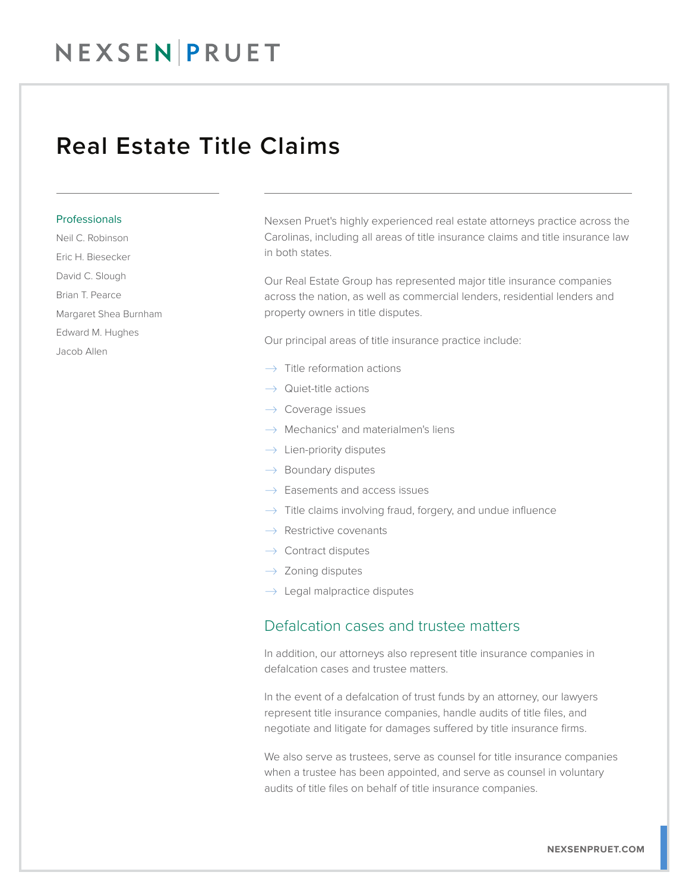## NEXSEN PRUET

## Real Estate Title Claims

#### **Professionals**

Neil C. Robinson

- Eric H. Biesecker
- David C. Slough
- Brian T. Pearce
- Margaret Shea Burnham
- Edward M. Hughes
- Jacob Allen

Nexsen Pruet's highly experienced real estate attorneys practice across the Carolinas, including all areas of title insurance claims and title insurance law in both states.

Our Real Estate Group has represented major title insurance companies across the nation, as well as commercial lenders, residential lenders and property owners in title disputes.

Our principal areas of title insurance practice include:

- $\rightarrow$  Title reformation actions
- $\rightarrow$  Quiet-title actions
- $\rightarrow$  Coverage issues
- $\rightarrow$  Mechanics' and materialmen's liens
- $\rightarrow$  Lien-priority disputes
- $\rightarrow$  Boundary disputes
- $\rightarrow$  Easements and access issues
- $\rightarrow$  Title claims involving fraud, forgery, and undue influence
- $\rightarrow$  Restrictive covenants
- $\rightarrow$  Contract disputes
- $\rightarrow$  Zoning disputes
- $\rightarrow$  Legal malpractice disputes

### Defalcation cases and trustee matters

In addition, our attorneys also represent title insurance companies in defalcation cases and trustee matters.

In the event of a defalcation of trust funds by an attorney, our lawyers represent title insurance companies, handle audits of title files, and negotiate and litigate for damages suffered by title insurance firms.

We also serve as trustees, serve as counsel for title insurance companies when a trustee has been appointed, and serve as counsel in voluntary audits of title files on behalf of title insurance companies.